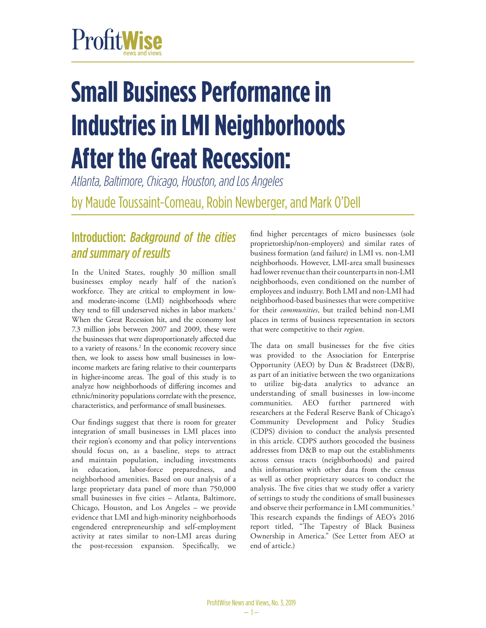# ProfitWise

## **Small Business Performance in Industries in LMI Neighborhoods After the Great Recession:**

*Atlanta, Baltimore, Chicago, Houston, and Los Angeles* by Maude Toussaint-Comeau, Robin Newberger, and Mark O'Dell

## Introduction: *Background of the cities and summary of results*

In the United States, roughly 30 million small businesses employ nearly half of the nation's workforce. They are critical to employment in lowand moderate-income (LMI) neighborhoods where they tend to fill underserved niches in labor markets.<sup>1</sup> When the Great Recession hit, and the economy lost 7.3 million jobs between 2007 and 2009, these were the businesses that were disproportionately affected due to a variety of reasons.2 In the economic recovery since then, we look to assess how small businesses in lowincome markets are faring relative to their counterparts in higher-income areas. The goal of this study is to analyze how neighborhoods of differing incomes and ethnic/minority populations correlate with the presence, characteristics, and performance of small businesses.

Our findings suggest that there is room for greater integration of small businesses in LMI places into their region's economy and that policy interventions should focus on, as a baseline, steps to attract and maintain population, including investments in education, labor-force preparedness, and neighborhood amenities. Based on our analysis of a large proprietary data panel of more than 750,000 small businesses in five cities – Atlanta, Baltimore, Chicago, Houston, and Los Angeles – we provide evidence that LMI and high-minority neighborhoods engendered entrepreneurship and self-employment activity at rates similar to non-LMI areas during the post-recession expansion. Specifically, we

find higher percentages of micro businesses (sole proprietorship/non-employers) and similar rates of business formation (and failure) in LMI vs. non-LMI neighborhoods. However, LMI-area small businesses had lower revenue than their counterparts in non-LMI neighborhoods, even conditioned on the number of employees and industry. Both LMI and non-LMI had neighborhood-based businesses that were competitive for their *communities*, but trailed behind non-LMI places in terms of business representation in sectors that were competitive to their *region*.

The data on small businesses for the five cities was provided to the Association for Enterprise Opportunity (AEO) by Dun & Bradstreet (D&B), as part of an initiative between the two organizations to utilize big-data analytics to advance an understanding of small businesses in low-income communities. AEO further partnered with researchers at the Federal Reserve Bank of Chicago's Community Development and Policy Studies (CDPS) division to conduct the analysis presented in this article. CDPS authors geocoded the business addresses from D&B to map out the establishments across census tracts (neighborhoods) and paired this information with other data from the census as well as other proprietary sources to conduct the analysis. The five cities that we study offer a variety of settings to study the conditions of small businesses and observe their performance in LMI communities.<sup>3</sup> This research expands the findings of AEO's 2016 report titled, "The Tapestry of Black Business Ownership in America." (See Letter from AEO at end of article.)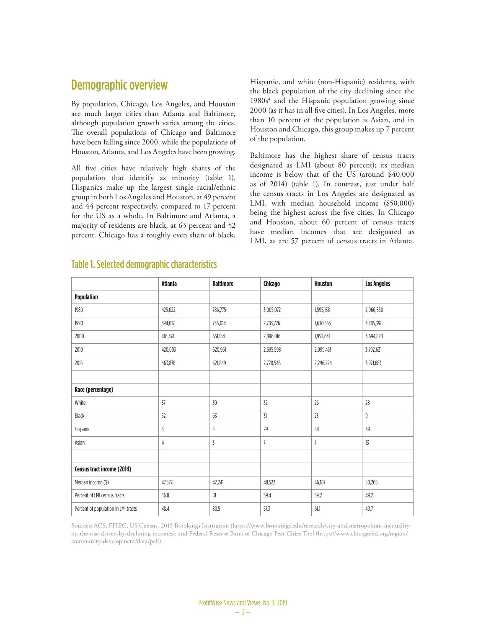## Demographic overview

By population, Chicago, Los Angeles, and Houston are much larger cities than Atlanta and Baltimore, although population growth varies among the cities. The overall populations of Chicago and Baltimore have been falling since 2000, while the populations of Houston, Atlanta, and Los Angeles have been growing.

All five cities have relatively high shares of the population that identify as minority (table 1). Hispanics make up the largest single racial/ethnic group in both Los Angeles and Houston, at 49 percent and 44 percent respectively, compared to 17 percent for the US as a whole. In Baltimore and Atlanta, a majority of residents are black, at 63 percent and 52 percent. Chicago has a roughly even share of black, Hispanic, and white (non-Hispanic) residents, with the black population of the city declining since the 1980s<sup>4</sup> and the Hispanic population growing since 2000 (as it has in all five cities). In Los Angeles, more than 10 percent of the population is Asian, and in Houston and Chicago, this group makes up 7 percent of the population.

Baltimore has the highest share of census tracts designated as LMI (about 80 percent); its median income is below that of the US (around \$40,000 as of 2014) (table 1). In contrast, just under half the census tracts in Los Angeles are designated as LMI, with median household income (\$50,000) being the highest across the five cities. In Chicago and Houston, about 60 percent of census tracts have median incomes that are designated as LMI, as are 57 percent of census tracts in Atlanta.

|                                     | <b>Atlanta</b> | <b>Baltimore</b> | Chicago   | <b>Houston</b> | <b>Los Angeles</b> |
|-------------------------------------|----------------|------------------|-----------|----------------|--------------------|
| <b>Population</b>                   |                |                  |           |                |                    |
| 1980                                | 425,022        | 786,775          | 3,005,072 | 1,595,138      | 2,966,850          |
| 1990                                | 394,017        | 736,014          | 2,783,726 | 1,630,553      | 3,485,398          |
| 2000                                | 416,474        | 651,154          | 2,896,016 | 1,953,631      | 3,694,820          |
| 2010                                | 420,003        | 620,961          | 2,695,598 | 2,099,451      | 3,792,621          |
| 2015                                | 463,878        | 621,849          | 2,720,546 | 2,296,224      | 3,971,883          |
|                                     |                |                  |           |                |                    |
| Race (percentage)                   |                |                  |           |                |                    |
| White                               | 37             | 30               | 32        | 26             | 28                 |
| Black                               | 52             | 63               | 31        | 23             | 9                  |
| Hispanic                            | 5              | 5                | 29        | 44             | 49                 |
| Asian                               | 4              | 3                | 7         | $\overline{7}$ | 13                 |
|                                     |                |                  |           |                |                    |
| Census tract income (2014)          |                |                  |           |                |                    |
| Median income (\$)                  | 47,527         | 42,241           | 48,522    | 46,187         | 50,205             |
| Percent of LMI census tracts        | 56.8           | 81               | 59.4      | 59.2           | 49.2               |
| Percent of population in LMI tracts | 48.4           | 80.5             | 57.3      | 61.1           | 49.7               |

#### Table 1. Selected demographic characteristics

Sources: ACS, FFIEC, US Census, 2015 Brookings Institution (https://www.brookings.edu/research/city-and-metropolitan-inequalityon-the-rise-driven-by-declining-incomes), and Federal Reserve Bank of Chicago Peer Cities Tool (https://www.chicagofed.org/region/ community-development/data/pcit).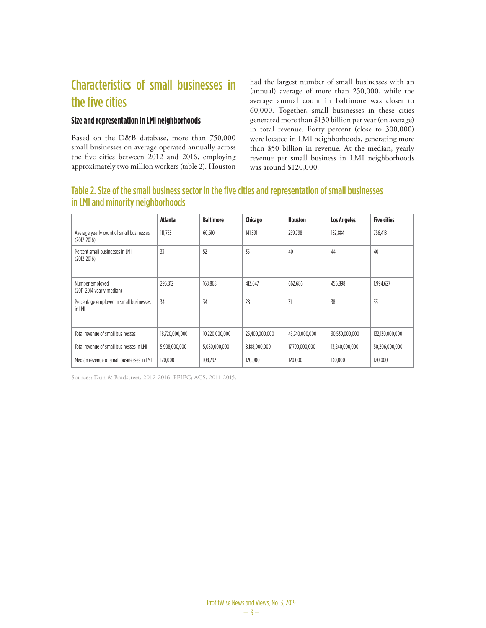## Characteristics of small businesses in the five cities

#### **Size and representation in LMI neighborhoods**

Based on the D&B database, more than 750,000 small businesses on average operated annually across the five cities between 2012 and 2016, employing approximately two million workers (table 2). Houston

had the largest number of small businesses with an (annual) average of more than 250,000, while the average annual count in Baltimore was closer to 60,000. Together, small businesses in these cities generated more than \$130 billion per year (on average) in total revenue. Forty percent (close to 300,000) were located in LMI neighborhoods, generating more than \$50 billion in revenue. At the median, yearly revenue per small business in LMI neighborhoods was around \$120,000.

## Table 2. Size of the small business sector in the five cities and representation of small businesses in LMI and minority neighborhoods

|                                                             | Atlanta        | <b>Baltimore</b> | Chicago        | Houston        | <b>Los Angeles</b> | <b>Five cities</b> |
|-------------------------------------------------------------|----------------|------------------|----------------|----------------|--------------------|--------------------|
| Average yearly count of small businesses<br>$(2012 - 2016)$ | 111,753        | 60,610           | 141,391        | 259,798        | 182,884            | 756,418            |
| Percent small businesses in LML<br>$(2012 - 2016)$          | 33             | 52               | 35             | 40             | 44                 | 40                 |
|                                                             |                |                  |                |                |                    |                    |
| Number employed<br>(2011-2014 yearly median)                | 295,812        | 168,868          | 413,647        | 662,686        | 456.898            | 1,994,627          |
| Percentage employed in small businesses<br>in LMI           | 34             | 34               | 28             | 31             | 38                 | 33                 |
|                                                             |                |                  |                |                |                    |                    |
| Total revenue of small businesses                           | 18,720,000,000 | 10,220,000,000   | 25,400,000,000 | 45,740,000,000 | 30,530,000,000     | 132,130,000,000    |
| Total revenue of small businesses in LMI                    | 5,908,000,000  | 5,080,000,000    | 8,188,000,000  | 17,790,000,000 | 13.240.000.000     | 50.206.000.000     |
| Median revenue of small businesses in LML                   | 120,000        | 108,792          | 120.000        | 120,000        | 130,000            | 120.000            |

Sources: Dun & Bradstreet, 2012-2016; FFIEC; ACS, 2011-2015.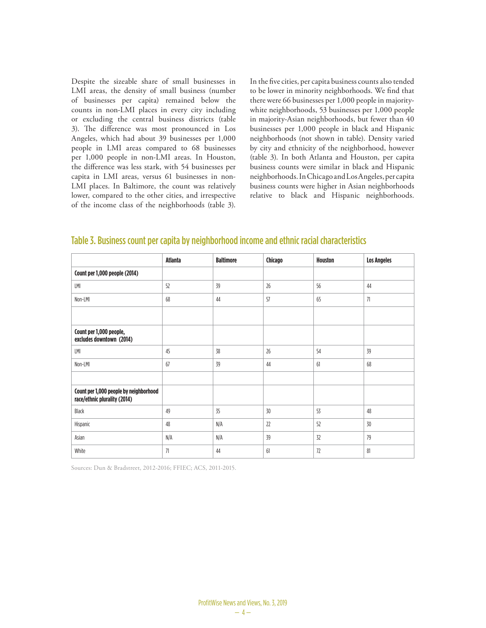Despite the sizeable share of small businesses in LMI areas, the density of small business (number of businesses per capita) remained below the counts in non-LMI places in every city including or excluding the central business districts (table 3). The difference was most pronounced in Los Angeles, which had about 39 businesses per 1,000 people in LMI areas compared to 68 businesses per 1,000 people in non-LMI areas. In Houston, the difference was less stark, with 54 businesses per capita in LMI areas, versus 61 businesses in non-LMI places. In Baltimore, the count was relatively lower, compared to the other cities, and irrespective of the income class of the neighborhoods (table 3). In the five cities, per capita business counts also tended to be lower in minority neighborhoods. We find that there were 66 businesses per 1,000 people in majoritywhite neighborhoods, 53 businesses per 1,000 people in majority-Asian neighborhoods, but fewer than 40 businesses per 1,000 people in black and Hispanic neighborhoods (not shown in table). Density varied by city and ethnicity of the neighborhood, however (table 3). In both Atlanta and Houston, per capita business counts were similar in black and Hispanic neighborhoods. In Chicago and Los Angeles, per capita business counts were higher in Asian neighborhoods relative to black and Hispanic neighborhoods.

|                                                                        | <b>Atlanta</b> | <b>Baltimore</b> | Chicago | <b>Houston</b> | <b>Los Angeles</b> |
|------------------------------------------------------------------------|----------------|------------------|---------|----------------|--------------------|
| Count per 1,000 people (2014)                                          |                |                  |         |                |                    |
| LMI                                                                    | 52             | 39               | 26      | 56             | 44                 |
| Non-LMI                                                                | 68             | 44               | 57      | 65             | 71                 |
|                                                                        |                |                  |         |                |                    |
| Count per 1,000 people,<br>excludes downtown (2014)                    |                |                  |         |                |                    |
| LMI                                                                    | 45             | 38               | 26      | 54             | 39                 |
| Non-LMI                                                                | 67             | 39               | 44      | 61             | 68                 |
|                                                                        |                |                  |         |                |                    |
| Count per 1,000 people by neighborhood<br>race/ethnic plurality (2014) |                |                  |         |                |                    |
| Black                                                                  | 49             | 35               | 30      | 53             | 48                 |
| Hispanic                                                               | 48             | N/A              | 22      | 52             | 30                 |
| Asian                                                                  | N/A            | N/A              | 39      | 32             | 79                 |
| White                                                                  | 71             | 44               | 61      | 72             | 81                 |

#### Table 3. Business count per capita by neighborhood income and ethnic racial characteristics

Sources: Dun & Bradstreet, 2012-2016; FFIEC; ACS, 2011-2015.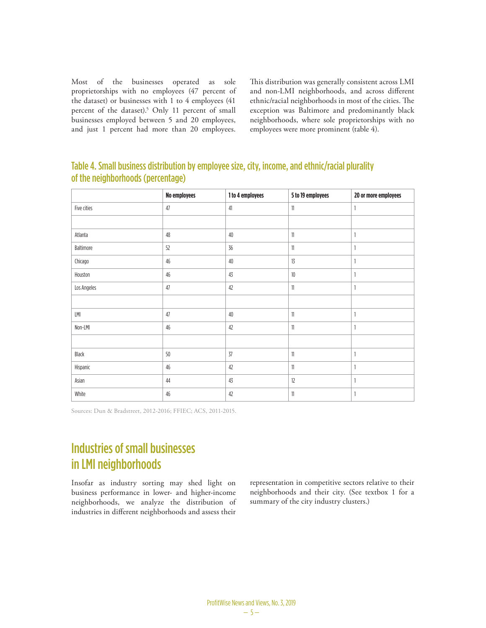Most of the businesses operated as sole proprietorships with no employees (47 percent of the dataset) or businesses with 1 to 4 employees (41 percent of the dataset).5 Only 11 percent of small businesses employed between 5 and 20 employees, and just 1 percent had more than 20 employees.

This distribution was generally consistent across LMI and non-LMI neighborhoods, and across different ethnic/racial neighborhoods in most of the cities. The exception was Baltimore and predominantly black neighborhoods, where sole proprietorships with no employees were more prominent (table 4).

## Table 4. Small business distribution by employee size, city, income, and ethnic/racial plurality of the neighborhoods (percentage)

|             | No employees | 1 to 4 employees | 5 to 19 employees | 20 or more employees |
|-------------|--------------|------------------|-------------------|----------------------|
| Five cities | 47           | 41               | $\mathbf{1}$      | 1                    |
|             |              |                  |                   |                      |
| Atlanta     | 48           | 40               | $11\,$            | 1                    |
| Baltimore   | 52           | 36               | 11                | 1                    |
| Chicago     | 46           | 40               | 13                |                      |
| Houston     | 46           | 43               | $10$              | 1                    |
| Los Angeles | 47           | 42               | $\mathbf{1}$      | 1                    |
|             |              |                  |                   |                      |
| LMI         | 47           | 40               | $\mathbf{1}$      | 1                    |
| Non-LMI     | 46           | 42               | $\mathbf{1}$      | 1                    |
|             |              |                  |                   |                      |
| Black       | 50           | 37               | $\mathbf{1}$      | 1                    |
| Hispanic    | 46           | 42               | 11                | 1                    |
| Asian       | 44           | 43               | 12                | 1                    |
| White       | 46           | 42               | $\mathbf{1}$      | 1                    |

Sources: Dun & Bradstreet, 2012-2016; FFIEC; ACS, 2011-2015.

## Industries of small businesses in LMI neighborhoods

Insofar as industry sorting may shed light on business performance in lower- and higher-income neighborhoods, we analyze the distribution of industries in different neighborhoods and assess their

representation in competitive sectors relative to their neighborhoods and their city. (See textbox 1 for a summary of the city industry clusters.)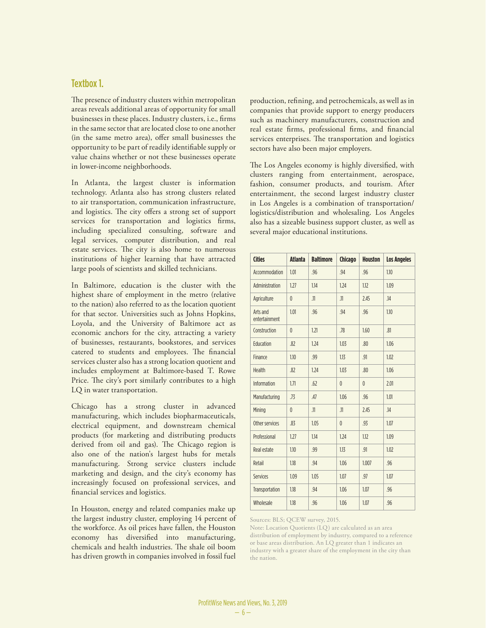#### Textbox 1.

The presence of industry clusters within metropolitan areas reveals additional areas of opportunity for small businesses in these places. Industry clusters, i.e., firms in the same sector that are located close to one another (in the same metro area), offer small businesses the opportunity to be part of readily identifiable supply or value chains whether or not these businesses operate in lower-income neighborhoods.

In Atlanta, the largest cluster is information technology. Atlanta also has strong clusters related to air transportation, communication infrastructure, and logistics. The city offers a strong set of support services for transportation and logistics firms, including specialized consulting, software and legal services, computer distribution, and real estate services. The city is also home to numerous institutions of higher learning that have attracted large pools of scientists and skilled technicians.

In Baltimore, education is the cluster with the highest share of employment in the metro (relative to the nation) also referred to as the location quotient for that sector. Universities such as Johns Hopkins, Loyola, and the University of Baltimore act as economic anchors for the city, attracting a variety of businesses, restaurants, bookstores, and services catered to students and employees. The financial services cluster also has a strong location quotient and includes employment at Baltimore-based T. Rowe Price. The city's port similarly contributes to a high LQ in water transportation.

Chicago has a strong cluster in advanced manufacturing, which includes biopharmaceuticals, electrical equipment, and downstream chemical products (for marketing and distributing products derived from oil and gas). The Chicago region is also one of the nation's largest hubs for metals manufacturing. Strong service clusters include marketing and design, and the city's economy has increasingly focused on professional services, and financial services and logistics.

In Houston, energy and related companies make up the largest industry cluster, employing 14 percent of the workforce. As oil prices have fallen, the Houston economy has diversified into manufacturing, chemicals and health industries. The shale oil boom has driven growth in companies involved in fossil fuel

production, refining, and petrochemicals, as well as in companies that provide support to energy producers such as machinery manufacturers, construction and real estate firms, professional firms, and financial services enterprises. The transportation and logistics sectors have also been major employers.

The Los Angeles economy is highly diversified, with clusters ranging from entertainment, aerospace, fashion, consumer products, and tourism. After entertainment, the second largest industry cluster in Los Angeles is a combination of transportation/ logistics/distribution and wholesaling. Los Angeles also has a sizeable business support cluster, as well as several major educational institutions.

| <b>Cities</b>             | <b>Atlanta</b> | <b>Baltimore</b> | <b>Chicago</b> | <b>Houston</b> | <b>Los Angeles</b> |
|---------------------------|----------------|------------------|----------------|----------------|--------------------|
| Accommodation             | 1.01           | .96              | .94            | .96            | 1.10               |
| Administration            | 1.27           | 1.14             | 1.24           | 1.12           | 1.09               |
| Agriculture               | $\theta$       | .11              | .11            | 2.45           | .14                |
| Arts and<br>entertainment | 1.01           | .96              | .94            | .96            | 1.10               |
| Construction              | $\mathbf{0}$   | 1.21             | .78            | 1.60           | .81                |
| Education                 | .82            | 1.24             | 1.03           | .80            | 1.06               |
| Finance                   | 1.10           | .99              | 1.13           | .91            | 1.02               |
| <b>Health</b>             | .82            | 1.24             | 1.03           | .80            | 1.06               |
| <b>Information</b>        | 1.71           | .62              | $\mathbf{0}$   | $\mathbf{0}$   | 2.01               |
| Manufacturing             | .73            | .47              | 1.06           | .96            | 1.01               |
| Mining                    | $\mathbf{0}$   | .11              | .11            | 2.45           | .14                |
| Other services            | .83            | 1.05             | $\mathbf{0}$   | .93            | 1.07               |
| Professional              | 1.27           | 1.14             | 1.24           | 1.12           | 1.09               |
| Real estate               | 1.10           | .99              | 1.13           | .91            | 1.02               |
| Retail                    | 1.18           | .94              | 1.06           | 1.007          | .96                |
| Services                  | 1.09           | 1.05             | 1.07           | .97            | 1.07               |
| Transportation            | 1.18           | .94              | 1.06           | 1.07           | .96                |
| Wholesale                 | 1.18           | .96              | 1.06           | 1.07           | .96                |

Sources: BLS; QCEW survey, 2015.

Note: Location Quotients (LQ) are calculated as an area distribution of employment by industry, compared to a reference or base areas distribution. An LQ greater than 1 indicates an industry with a greater share of the employment in the city than the nation.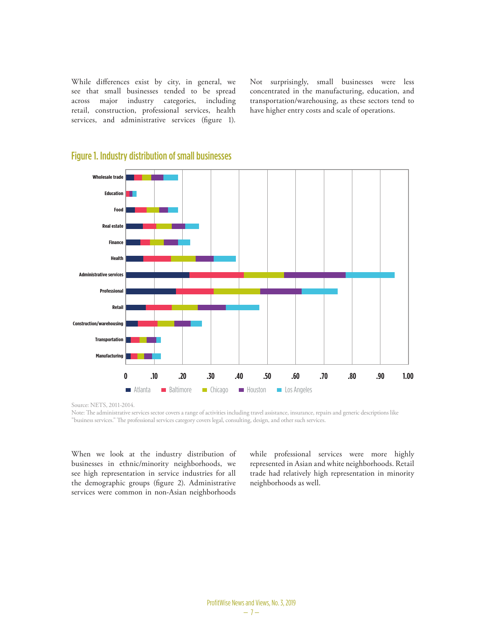While differences exist by city, in general, we see that small businesses tended to be spread across major industry categories, including retail, construction, professional services, health services, and administrative services (figure 1).

Not surprisingly, small businesses were less concentrated in the manufacturing, education, and transportation/warehousing, as these sectors tend to have higher entry costs and scale of operations.



#### Figure 1. Industry distribution of small businesses

Source: NETS, 2011-2014.

Note: The administrative services sector covers a range of activities including travel assistance, insurance, repairs and generic descriptions like "business services." The professional services category covers legal, consulting, design, and other such services.

When we look at the industry distribution of businesses in ethnic/minority neighborhoods, we see high representation in service industries for all the demographic groups (figure 2). Administrative services were common in non-Asian neighborhoods

while professional services were more highly represented in Asian and white neighborhoods. Retail trade had relatively high representation in minority neighborhoods as well.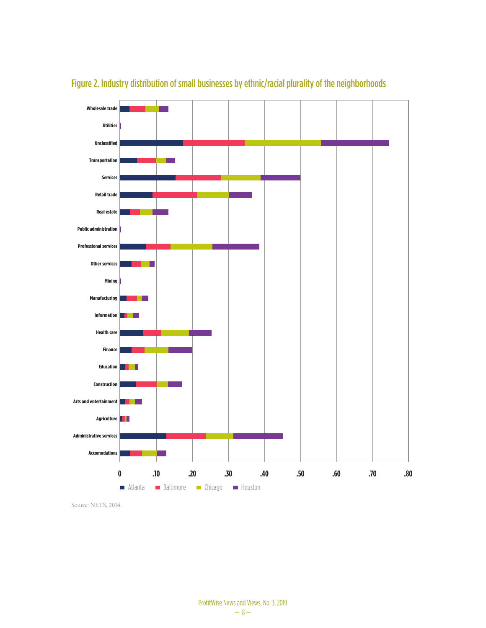

## Figure 2. Industry distribution of small businesses by ethnic/racial plurality of the neighborhoods

Source: NETS, 2014.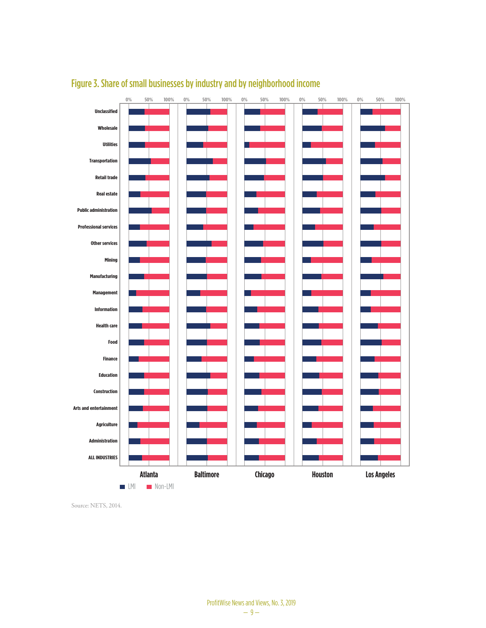

## Figure 3. Share of small businesses by industry and by neighborhood income

Source: NETS, 2014.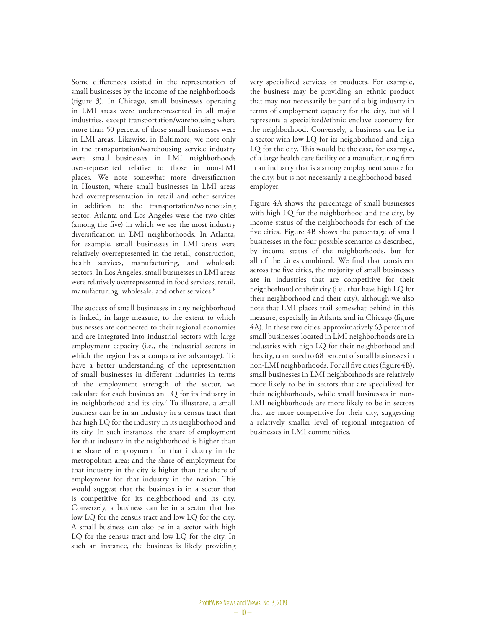Some differences existed in the representation of small businesses by the income of the neighborhoods (figure 3). In Chicago, small businesses operating in LMI areas were underrepresented in all major industries, except transportation/warehousing where more than 50 percent of those small businesses were in LMI areas. Likewise, in Baltimore, we note only in the transportation/warehousing service industry were small businesses in LMI neighborhoods over-represented relative to those in non-LMI places. We note somewhat more diversification in Houston, where small businesses in LMI areas had overrepresentation in retail and other services in addition to the transportation/warehousing sector. Atlanta and Los Angeles were the two cities (among the five) in which we see the most industry diversification in LMI neighborhoods. In Atlanta, for example, small businesses in LMI areas were relatively overrepresented in the retail, construction, health services, manufacturing, and wholesale sectors. In Los Angeles, small businesses in LMI areas were relatively overrepresented in food services, retail, manufacturing, wholesale, and other services.6

The success of small businesses in any neighborhood is linked, in large measure, to the extent to which businesses are connected to their regional economies and are integrated into industrial sectors with large employment capacity (i.e., the industrial sectors in which the region has a comparative advantage). To have a better understanding of the representation of small businesses in different industries in terms of the employment strength of the sector, we calculate for each business an LQ for its industry in its neighborhood and its city.7 To illustrate, a small business can be in an industry in a census tract that has high LQ for the industry in its neighborhood and its city. In such instances, the share of employment for that industry in the neighborhood is higher than the share of employment for that industry in the metropolitan area; and the share of employment for that industry in the city is higher than the share of employment for that industry in the nation. This would suggest that the business is in a sector that is competitive for its neighborhood and its city. Conversely, a business can be in a sector that has low LQ for the census tract and low LQ for the city. A small business can also be in a sector with high LQ for the census tract and low LQ for the city. In such an instance, the business is likely providing

very specialized services or products. For example, the business may be providing an ethnic product that may not necessarily be part of a big industry in terms of employment capacity for the city, but still represents a specialized/ethnic enclave economy for the neighborhood. Conversely, a business can be in a sector with low LQ for its neighborhood and high LQ for the city. This would be the case, for example, of a large health care facility or a manufacturing firm in an industry that is a strong employment source for the city, but is not necessarily a neighborhood basedemployer.

Figure 4A shows the percentage of small businesses with high LQ for the neighborhood and the city, by income status of the neighborhoods for each of the five cities. Figure 4B shows the percentage of small businesses in the four possible scenarios as described, by income status of the neighborhoods, but for all of the cities combined. We find that consistent across the five cities, the majority of small businesses are in industries that are competitive for their neighborhood or their city (i.e., that have high LQ for their neighborhood and their city), although we also note that LMI places trail somewhat behind in this measure, especially in Atlanta and in Chicago (figure 4A). In these two cities, approximatively 63 percent of small businesses located in LMI neighborhoods are in industries with high LQ for their neighborhood and the city, compared to 68 percent of small businesses in non-LMI neighborhoods. For all five cities (figure 4B), small businesses in LMI neighborhoods are relatively more likely to be in sectors that are specialized for their neighborhoods, while small businesses in non-LMI neighborhoods are more likely to be in sectors that are more competitive for their city, suggesting a relatively smaller level of regional integration of businesses in LMI communities.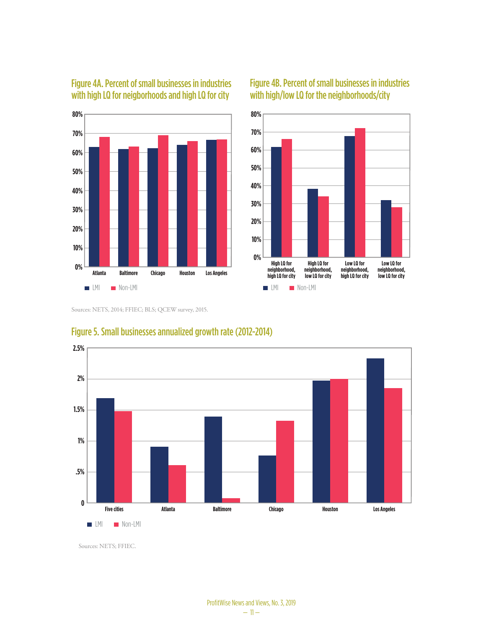

## Figure 4A. Percent of small businesses in industries with high LQ for neigborhoods and high LQ for city





Sources: NETS, 2014; FFIEC; BLS; QCEW survey, 2015.



### Figure 5. Small businesses annualized growth rate (2012-2014)

Sources: NETS; FFIEC.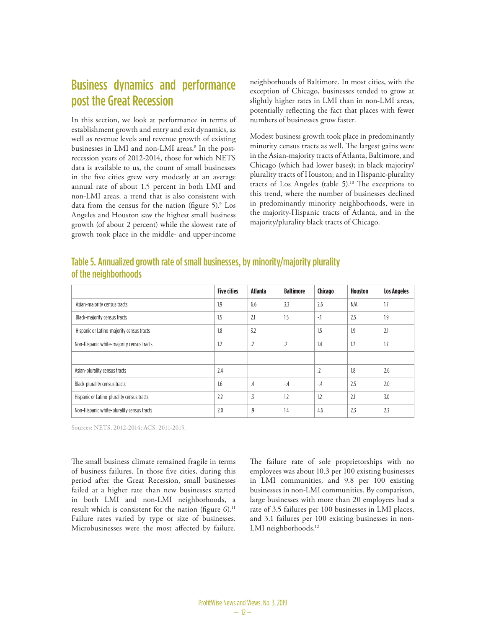## Business dynamics and performance post the Great Recession

In this section, we look at performance in terms of establishment growth and entry and exit dynamics, as well as revenue levels and revenue growth of existing businesses in LMI and non-LMI areas.<sup>8</sup> In the postrecession years of 2012-2014, those for which NETS data is available to us, the count of small businesses in the five cities grew very modestly at an average annual rate of about 1.5 percent in both LMI and non-LMI areas, a trend that is also consistent with data from the census for the nation (figure 5).<sup>9</sup> Los Angeles and Houston saw the highest small business growth (of about 2 percent) while the slowest rate of growth took place in the middle- and upper-income

neighborhoods of Baltimore. In most cities, with the exception of Chicago, businesses tended to grow at slightly higher rates in LMI than in non-LMI areas, potentially reflecting the fact that places with fewer numbers of businesses grow faster.

Modest business growth took place in predominantly minority census tracts as well. The largest gains were in the Asian-majority tracts of Atlanta, Baltimore, and Chicago (which had lower bases); in black majority/ plurality tracts of Houston; and in Hispanic-plurality tracts of Los Angeles (table 5).<sup>10</sup> The exceptions to this trend, where the number of businesses declined in predominantly minority neighborhoods, were in the majority-Hispanic tracts of Atlanta, and in the majority/plurality black tracts of Chicago.

|                      | Table 5. Annualized growth rate of small businesses, by minority/majority plurality |
|----------------------|-------------------------------------------------------------------------------------|
| of the neighborhoods |                                                                                     |

|                                            | <b>Five cities</b> | <b>Atlanta</b> | <b>Baltimore</b> | Chicago | <b>Houston</b> | <b>Los Angeles</b> |
|--------------------------------------------|--------------------|----------------|------------------|---------|----------------|--------------------|
| Asian-majority census tracts               | 1.9                | 6.6            | 3.3              | 2.6     | N/A            | 1.7                |
| Black-majority census tracts               | 1.5                | 2.1            | 1.5              | $-1$    | 2.5            | 1.9                |
| Hispanic or Latino-majority census tracts  | 1.8                | 3.2            |                  | 1.5     | 1.9            | 2.1                |
| Non-Hispanic white-majority census tracts  | 1.2                | $\cdot$        | $\cdot$          | 1.4     | 1.7            | 1.7                |
|                                            |                    |                |                  |         |                |                    |
| Asian-plurality census tracts              | 2.4                |                |                  | $\cdot$ | 1.8            | 2.6                |
| Black-plurality census tracts              | 1.6                | $\mathcal{A}$  | $-4$             | $-4$    | 2.5            | 2.0                |
| Hispanic or Latino-plurality census tracts | 2.2                | .3             | 1.2              | 1.2     | 2.1            | 3.0                |
| Non-Hispanic white-plurality census tracts | 2.0                | .9             | 1.4              | 4.6     | 2.3            | 2.3                |

Sources: NETS, 2012-2014; ACS, 2011-2015.

The small business climate remained fragile in terms of business failures. In those five cities, during this period after the Great Recession, small businesses failed at a higher rate than new businesses started in both LMI and non-LMI neighborhoods, a result which is consistent for the nation (figure  $6$ ).<sup>11</sup> Failure rates varied by type or size of businesses. Microbusinesses were the most affected by failure. The failure rate of sole proprietorships with no employees was about 10.3 per 100 existing businesses in LMI communities, and 9.8 per 100 existing businesses in non-LMI communities. By comparison, large businesses with more than 20 employees had a rate of 3.5 failures per 100 businesses in LMI places, and 3.1 failures per 100 existing businesses in non-LMI neighborhoods.<sup>12</sup>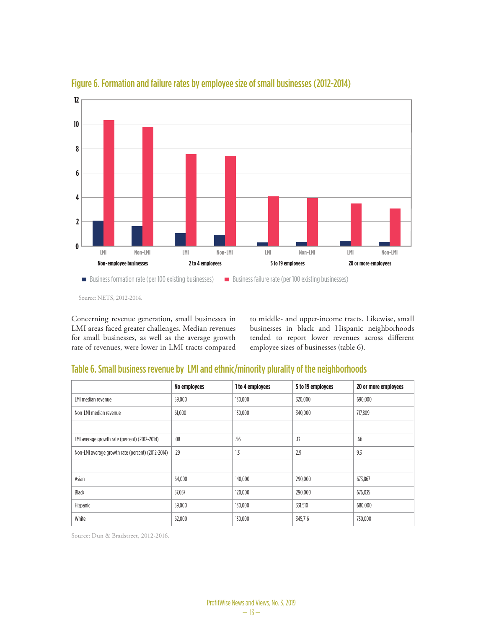

### Figure 6. Formation and failure rates by employee size of small businesses (2012-2014)

Concerning revenue generation, small businesses in LMI areas faced greater challenges. Median revenues for small businesses, as well as the average growth rate of revenues, were lower in LMI tracts compared to middle- and upper-income tracts. Likewise, small businesses in black and Hispanic neighborhoods tended to report lower revenues across different employee sizes of businesses (table 6).

## Table 6. Small business revenue by LMI and ethnic/minority plurality of the neighborhoods

|                                                   | No employees | 1 to 4 employees | 5 to 19 employees | 20 or more employees |
|---------------------------------------------------|--------------|------------------|-------------------|----------------------|
| LMI median revenue                                | 59,000       | 130,000          | 320,000           | 690,000              |
| Non-LMI median revenue                            | 61,000       | 130,000          | 340,000           | 717,809              |
|                                                   |              |                  |                   |                      |
| LMI average growth rate (percent) (2012-2014)     | .08          | .56              | .13               | .66                  |
| Non-LMI average growth rate (percent) (2012-2014) | .29          | 1.3              | 2.9               | 9.3                  |
|                                                   |              |                  |                   |                      |
| Asian                                             | 64,000       | 140,000          | 290,000           | 673,867              |
| Black                                             | 57,057       | 120,000          | 290,000           | 676,035              |
| Hispanic                                          | 59,000       | 130,000          | 331,510           | 680,000              |
| White                                             | 62,000       | 130,000          | 345,716           | 730,000              |

Source: Dun & Bradstreet, 2012-2016.

Source: NETS, 2012-2014.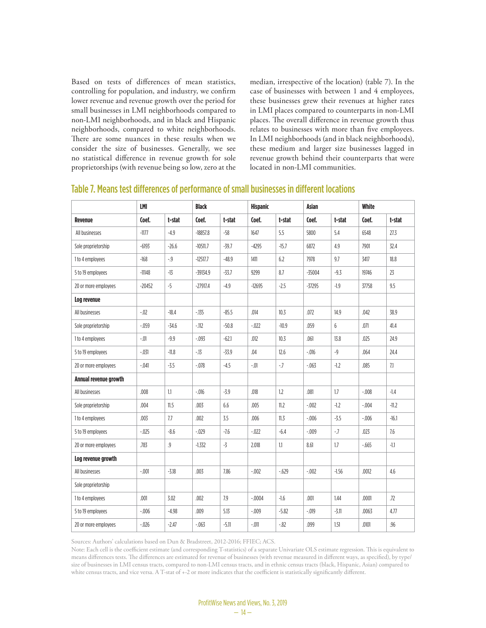Based on tests of differences of mean statistics, controlling for population, and industry, we confirm lower revenue and revenue growth over the period for small businesses in LMI neighborhoods compared to non-LMI neighborhoods, and in black and Hispanic neighborhoods, compared to white neighborhoods. There are some nuances in these results when we consider the size of businesses. Generally, we see no statistical difference in revenue growth for sole proprietorships (with revenue being so low, zero at the median, irrespective of the location) (table 7). In the case of businesses with between 1 and 4 employees, these businesses grew their revenues at higher rates in LMI places compared to counterparts in non-LMI places. The overall difference in revenue growth thus relates to businesses with more than five employees. In LMI neighborhoods (and in black neighborhoods), these medium and larger size businesses lagged in revenue growth behind their counterparts that were located in non-LMI communities.

|                       | LMI      |         | <b>Black</b> |         |          | <b>Hispanic</b> |          | <b>Asian</b> |         | White   |  |
|-----------------------|----------|---------|--------------|---------|----------|-----------------|----------|--------------|---------|---------|--|
| <b>Revenue</b>        | Coef.    | t-stat  | Coef.        | t-stat  | Coef.    | t-stat          | Coef.    | t-stat       | Coef.   | t-stat  |  |
| All businesses        | $-1177$  | $-4.9$  | $-18857.8$   | $-58$   | 1647     | 5.5             | 5800     | 5.4          | 6548    | 27.3    |  |
| Sole proprietorship   | $-6193$  | $-26.6$ | $-10511.7$   | $-39.7$ | $-4295$  | $-15.7$         | 6872     | 4.9          | 7901    | 32.4    |  |
| 1 to 4 employees      | $-168$   | $-9$    | $-12517.7$   | $-48.9$ | 1411     | 6.2             | 7978     | 9.7          | 3417    | 18.8    |  |
| 5 to 19 employees     | $-11148$ | $-13$   | $-39134.9$   | $-33.7$ | 9299     | 8.7             | $-35004$ | $-9.3$       | 19746   | 23      |  |
| 20 or more employees  | $-20452$ | $-5$    | $-27917.4$   | $-4.9$  | $-12695$ | $-2.5$          | $-37295$ | $-1.9$       | 37758   | 9.5     |  |
| Log revenue           |          |         |              |         |          |                 |          |              |         |         |  |
| All businesses        | $-0.02$  | $-18.4$ | $-135$       | $-85.5$ | .014     | 10.3            | .072     | 14.9         | .042    | 38.9    |  |
| Sole proprietorship   | $-0.059$ | $-34.6$ | $-112$       | $-50.8$ | $-.022$  | $-10.9$         | .059     | 6            | .071    | 41.4    |  |
| 1 to 4 employees      | $-.01$   | $-9.9$  | $-0.093$     | $-62.1$ | .012     | 10.3            | .061     | 13.8         | .025    | 24.9    |  |
| 5 to 19 employees     | $-.031$  | $-11.8$ | $-13$        | $-33.9$ | .04      | 12.6            | $-0.016$ | $-9$         | .064    | 24.4    |  |
| 20 or more employees  | $-.041$  | $-3.5$  | $-.078$      | $-4.5$  | $-.01$   | $-7$            | $-063$   | $-1.2$       | .085    | 7.1     |  |
| Annual revenue growth |          |         |              |         |          |                 |          |              |         |         |  |
| All businesses        | .008     | 1.1     | $-.016$      | $-3.9$  | .018     | 1.2             | .081     | 1.7          | $-.008$ | $-1.4$  |  |
| Sole proprietorship   | .004     | 11.5    | .003         | 6.6     | .005     | 11.2            | $-0.002$ | $-1.2$       | $-.004$ | $-11.2$ |  |
| 1 to 4 employees      | .003     | 7.7     | .002         | 3.5     | .006     | 11.3            | $-0.06$  | $-3.5$       | $-.006$ | $-16.1$ |  |
| 5 to 19 employees     | $-.025$  | $-8.6$  | $-0.029$     | $-7.6$  | $-.022$  | $-6.4$          | $-009$   | $-7$         | .023    | 7.6     |  |
| 20 or more employees  | .783     | .9      | $-1.332$     | $-3$    | 2.018    | 1.1             | 8.61     | 1.7          | $-665$  | $-1.1$  |  |
| Log revenue growth    |          |         |              |         |          |                 |          |              |         |         |  |
| All businesses        | $-.001$  | $-3.18$ | .003         | 7.86    | $-.002$  | $-629$          | $-0.002$ | $-1.56$      | .0012   | 4.6     |  |
| Sole proprietorship   |          |         |              |         |          |                 |          |              |         |         |  |
| 1 to 4 employees      | .001     | 3.02    | .002         | 7.9     | $-.0004$ | $-1.6$          | .001     | 1.44         | .0001   | .72     |  |
| 5 to 19 employees     | $-0.06$  | $-4.98$ | .009         | 5.13    | $-0.09$  | $-5.82$         | $-.019$  | $-3.11$      | .0063   | 4.77    |  |
| 20 or more employees  | $-0.026$ | $-2.47$ | $-063$       | $-5.11$ | $-.011$  | $-0.82$         | .099     | 1.51         | .0101   | .96     |  |

#### Table 7. Means test differences of performance of small businesses in different locations

Sources: Authors' calculations based on Dun & Bradstreet, 2012-2016; FFIEC; ACS.

Note: Each cell is the coefficient estimate (and corresponding T-statistics) of a separate Univariate OLS estimate regression. This is equivalent to means differences tests. The differences are estimated for revenue of businesses (with revenue measured in different ways, as specified), by type/ size of businesses in LMI census tracts, compared to non-LMI census tracts, and in ethnic census tracts (black, Hispanic, Asian) compared to white census tracts, and vice versa. A T-stat of +-2 or more indicates that the coefficient is statistically significantly different.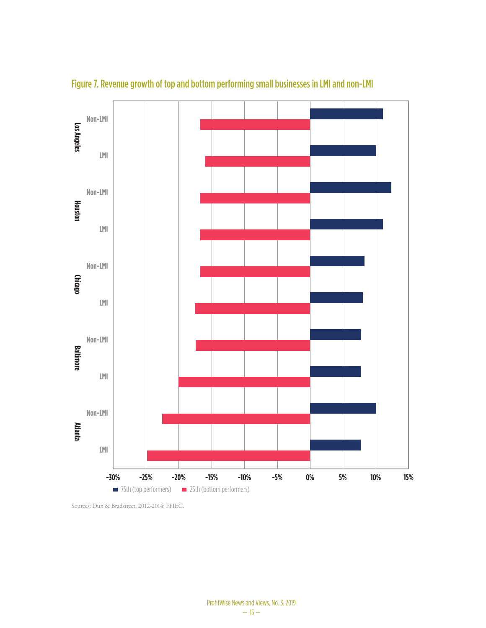

Figure 7. Revenue growth of top and bottom performing small businesses in LMI and non-LMI

Sources: Dun & Bradstreet, 2012-2014; FFIEC.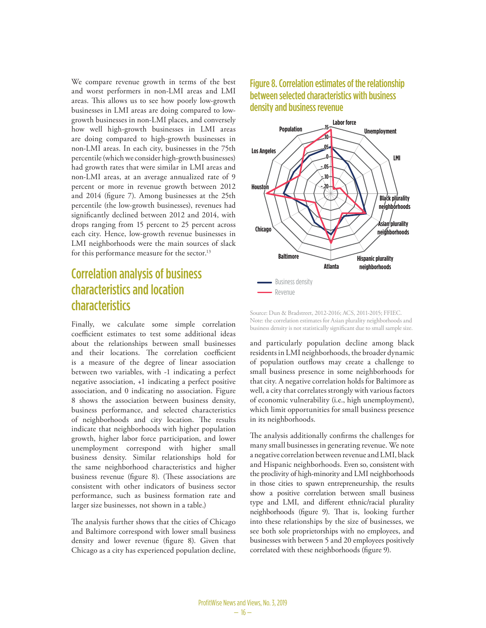We compare revenue growth in terms of the best and worst performers in non-LMI areas and LMI areas. This allows us to see how poorly low-growth businesses in LMI areas are doing compared to lowgrowth businesses in non-LMI places, and conversely how well high-growth businesses in LMI areas are doing compared to high-growth businesses in non-LMI areas. In each city, businesses in the 75th percentile (which we consider high-growth businesses) had growth rates that were similar in LMI areas and non-LMI areas, at an average annualized rate of 9 percent or more in revenue growth between 2012 and 2014 (figure 7). Among businesses at the 25th percentile (the low-growth businesses), revenues had significantly declined between 2012 and 2014, with drops ranging from 15 percent to 25 percent across each city. Hence, low-growth revenue businesses in LMI neighborhoods were the main sources of slack for this performance measure for the sector.<sup>13</sup>

## Correlation analysis of business characteristics and location characteristics

Finally, we calculate some simple correlation coefficient estimates to test some additional ideas about the relationships between small businesses and their locations. The correlation coefficient is a measure of the degree of linear association between two variables, with -1 indicating a perfect negative association, +1 indicating a perfect positive association, and 0 indicating no association. Figure 8 shows the association between business density, business performance, and selected characteristics of neighborhoods and city location. The results indicate that neighborhoods with higher population growth, higher labor force participation, and lower unemployment correspond with higher small business density. Similar relationships hold for the same neighborhood characteristics and higher business revenue (figure 8). (These associations are consistent with other indicators of business sector performance, such as business formation rate and larger size businesses, not shown in a table.)

The analysis further shows that the cities of Chicago and Baltimore correspond with lower small business density and lower revenue (figure 8). Given that Chicago as a city has experienced population decline,

### Figure 8. Correlation estimates of the relationship between selected characteristics with business density and business revenue



Source: Dun & Bradstreet, 2012-2016; ACS, 2011-2015; FFIEC. Note: the correlation estimates for Asian plurality neighborhoods and business density is not statistically significant due to small sample size.

and particularly population decline among black residents in LMI neighborhoods, the broader dynamic of population outflows may create a challenge to small business presence in some neighborhoods for that city. A negative correlation holds for Baltimore as well, a city that correlates strongly with various factors of economic vulnerability (i.e., high unemployment), which limit opportunities for small business presence in its neighborhoods.

The analysis additionally confirms the challenges for many small businesses in generating revenue. We note a negative correlation between revenue and LMI, black and Hispanic neighborhoods. Even so, consistent with the proclivity of high-minority and LMI neighborhoods in those cities to spawn entrepreneurship, the results show a positive correlation between small business type and LMI, and different ethnic/racial plurality neighborhoods (figure 9). That is, looking further into these relationships by the size of businesses, we see both sole proprietorships with no employees, and businesses with between 5 and 20 employees positively correlated with these neighborhoods (figure 9).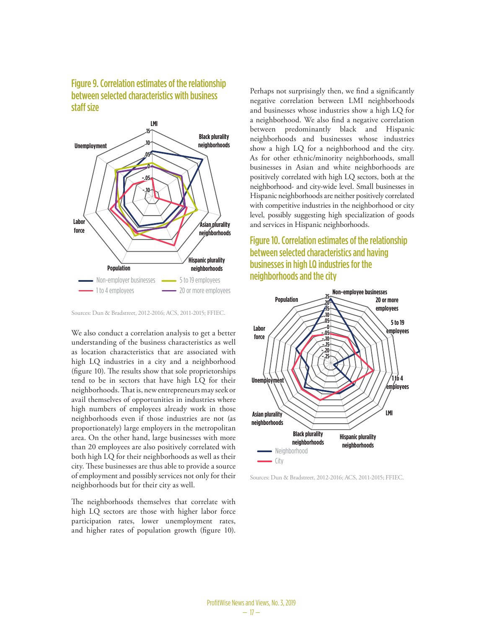#### Figure 9. Correlation estimates of the relationship between selected characteristics with business staff size



Sources: Dun & Bradstreet, 2012-2016; ACS, 2011-2015; FFIEC.

We also conduct a correlation analysis to get a better understanding of the business characteristics as well as location characteristics that are associated with high LQ industries in a city and a neighborhood (figure 10). The results show that sole proprietorships tend to be in sectors that have high LQ for their neighborhoods. That is, new entrepreneurs may seek or avail themselves of opportunities in industries where high numbers of employees already work in those neighborhoods even if those industries are not (as proportionately) large employers in the metropolitan area. On the other hand, large businesses with more than 20 employees are also positively correlated with both high LQ for their neighborhoods as well as their city. These businesses are thus able to provide a source of employment and possibly services not only for their neighborhoods but for their city as well.

The neighborhoods themselves that correlate with high LQ sectors are those with higher labor force participation rates, lower unemployment rates, and higher rates of population growth (figure 10).

Perhaps not surprisingly then, we find a significantly negative correlation between LMI neighborhoods and businesses whose industries show a high LQ for a neighborhood. We also find a negative correlation between predominantly black and Hispanic neighborhoods and businesses whose industries show a high LQ for a neighborhood and the city. As for other ethnic/minority neighborhoods, small businesses in Asian and white neighborhoods are positively correlated with high LQ sectors, both at the neighborhood- and city-wide level. Small businesses in Hispanic neighborhoods are neither positively correlated with competitive industries in the neighborhood or city level, possibly suggesting high specialization of goods and services in Hispanic neighborhoods.

## Figure 10. Correlation estimates of the relationship between selected characteristics and having businesses in high LQ industries for the neighborhoods and the city



Sources: Dun & Bradstreet, 2012-2016; ACS, 2011-2015; FFIEC.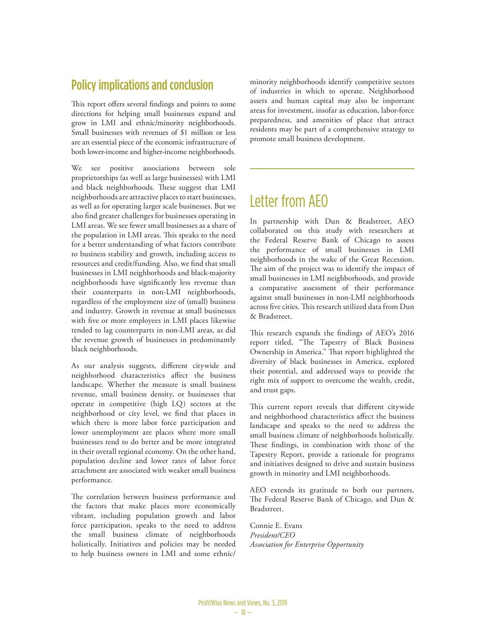## Policy implications and conclusion

This report offers several findings and points to some directions for helping small businesses expand and grow in LMI and ethnic/minority neighborhoods. Small businesses with revenues of \$1 million or less are an essential piece of the economic infrastructure of both lower-income and higher-income neighborhoods.

We see positive associations between sole proprietorships (as well as large businesses) with LMI and black neighborhoods. These suggest that LMI neighborhoods are attractive places to start businesses, as well as for operating larger scale businesses. But we also find greater challenges for businesses operating in LMI areas. We see fewer small businesses as a share of the population in LMI areas. This speaks to the need for a better understanding of what factors contribute to business stability and growth, including access to resources and credit/funding. Also, we find that small businesses in LMI neighborhoods and black-majority neighborhoods have significantly less revenue than their counterparts in non-LMI neighborhoods, regardless of the employment size of (small) business and industry. Growth in revenue at small businesses with five or more employees in LMI places likewise tended to lag counterparts in non-LMI areas, as did the revenue growth of businesses in predominantly black neighborhoods.

As our analysis suggests, different citywide and neighborhood characteristics affect the business landscape. Whether the measure is small business revenue, small business density, or businesses that operate in competitive (high LQ) sectors at the neighborhood or city level, we find that places in which there is more labor force participation and lower unemployment are places where more small businesses tend to do better and be more integrated in their overall regional economy. On the other hand, population decline and lower rates of labor force attachment are associated with weaker small business performance.

The correlation between business performance and the factors that make places more economically vibrant, including population growth and labor force participation, speaks to the need to address the small business climate of neighborhoods holistically. Initiatives and policies may be needed to help business owners in LMI and some ethnic/ minority neighborhoods identify competitive sectors of industries in which to operate. Neighborhood assets and human capital may also be important areas for investment, insofar as education, labor-force preparedness, and amenities of place that attract residents may be part of a comprehensive strategy to promote small business development.

## Letter from AEO

In partnership with Dun & Bradstreet, AEO collaborated on this study with researchers at the Federal Reserve Bank of Chicago to assess the performance of small businesses in LMI neighborhoods in the wake of the Great Recession. The aim of the project was to identify the impact of small businesses in LMI neighborhoods, and provide a comparative assessment of their performance against small businesses in non-LMI neighborhoods across five cities. This research utilized data from Dun & Bradstreet.

This research expands the findings of AEO's 2016 report titled, "The Tapestry of Black Business Ownership in America." That report highlighted the diversity of black businesses in America, explored their potential, and addressed ways to provide the right mix of support to overcome the wealth, credit, and trust gaps.

This current report reveals that different citywide and neighborhood characteristics affect the business landscape and speaks to the need to address the small business climate of neighborhoods holistically. These findings, in combination with those of the Tapestry Report, provide a rationale for programs and initiatives designed to drive and sustain business growth in minority and LMI neighborhoods.

AEO extends its gratitude to both our partners, The Federal Reserve Bank of Chicago, and Dun & Bradstreet.

Connie E. Evans *President/CEO Association for Enterprise Opportunity*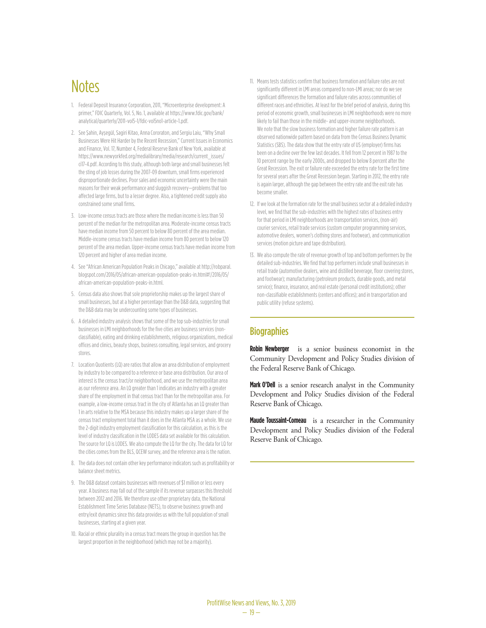## **Notes**

- 1. Federal Deposit Insurance Corporation, 2011, "Microenterprise development: A primer," FDIC Quarterly, Vol. 5, No. 1, available at https://www.fdic.gov/bank/ analytical/quarterly/2011-vol5-1/fdic-vol5no1-article-1.pdf.
- 2. See Şahin, Ayşegül, Sagiri Kitao, Anna Cororaton, and Sergiu Laiu, "Why Small Businesses Were Hit Harder by the Recent Recession," Current Issues in Economics and Finance, Vol. 17, Number 4, Federal Reserve Bank of New York, available at https://www.newyorkfed.org/medialibrary/media/research/current\_issues/ ci17-4.pdf. According to this study, although both large and small businesses felt the sting of job losses during the 2007-09 downturn, small firms experienced disproportionate declines. Poor sales and economic uncertainty were the main reasons for their weak performance and sluggish recovery—problems that too affected large firms, but to a lesser degree. Also, a tightened credit supply also constrained some small firms.
- 3. Low-income census tracts are those where the median income is less than 50 percent of the median for the metropolitan area. Moderate-income census tracts have median income from 50 percent to below 80 percent of the area median. Middle-income census tracts have median income from 80 percent to below 120 percent of the area median. Upper-income census tracts have median income from 120 percent and higher of area median income.
- 4. See "African American Population Peaks in Chicago," available at http://robparal. blogspot.com/2016/05/african-american-population-peaks-in.html#!/2016/05/ african-american-population-peaks-in.html.
- 5. Census data also shows that sole proprietorship makes up the largest share of small businesses, but at a higher percentage than the D&B data, suggesting that the D&B data may be undercounting some types of businesses.
- 6. A detailed industry analysis shows that some of the top sub-industries for small businesses in LMI neighborhoods for the five cities are business services (nonclassifiable), eating and drinking establishments, religious organizations, medical offices and clinics, beauty shops, business consulting, legal services, and grocery stores.
- 7. Location Quotients (LQ) are ratios that allow an area distribution of employment by industry to be compared to a reference or base area distribution. Our area of interest is the census tract/or neighborhood, and we use the metropolitan area as our reference area. An LQ greater than 1 indicates an industry with a greater share of the employment in that census tract than for the metropolitan area. For example, a low-income census tract in the city of Atlanta has an LQ greater than 1 in arts relative to the MSA because this industry makes up a larger share of the census tract employment total than it does in the Atlanta MSA as a whole. We use the 2-digit industry employment classification for this calculation, as this is the level of industry classification in the LODES data set available for this calculation. The source for LQ is LODES. We also compute the LQ for the city. The data for LQ for the cities comes from the BLS, QCEW survey, and the reference area is the nation.
- 8. The data does not contain other key performance indicators such as profitability or balance sheet metrics.
- 9. The D&B dataset contains businesses with revenues of \$1 million or less every year. A business may fall out of the sample if its revenue surpasses this threshold between 2012 and 2016. We therefore use other proprietary data, the National Establishment Time Series Database (NETS), to observe business growth and entry/exit dynamics since this data provides us with the full population of small businesses, starting at a given year.
- 10. Racial or ethnic plurality in a census tract means the group in question has the largest proportion in the neighborhood (which may not be a majority).
- 11. Means tests statistics confirm that business formation and failure rates are not significantly different in LMI areas compared to non-LMI areas; nor do we see significant differences the formation and failure rates across communities of different races and ethnicities. At least for the brief period of analysis, during this period of economic growth, small businesses in LMI neighborhoods were no more likely to fail than those in the middle- and upper-income neighborhoods. We note that the slow business formation and higher failure rate pattern is an observed nationwide pattern based on data from the Census Business Dynamic Statistics (SBS). The data show that the entry rate of US (employer) firms has been on a decline over the few last decades. It fell from 12 percent in 1987 to the 10 percent range by the early 2000s, and dropped to below 8 percent after the Great Recession. The exit or failure rate exceeded the entry rate for the first time for several years after the Great Recession began. Starting in 2012, the entry rate is again larger, although the gap between the entry rate and the exit rate has become smaller.
- 12. If we look at the formation rate for the small business sector at a detailed industry level, we find that the sub-industries with the highest rates of business entry for that period in LMI neighborhoods are transportation services, (non-air) courier services, retail trade services (custom computer programming services, automotive dealers, women's clothing stores and footwear), and communication services (motion picture and tape distribution).
- 13. We also compute the rate of revenue growth of top and bottom performers by the detailed sub-industries. We find that top performers include small businesses in retail trade (automotive dealers, wine and distilled beverage, floor covering stores, and footwear); manufacturing (petroleum products, durable goods, and metal service); finance, insurance, and real estate (personal credit institutions); other non-classifiable establishments (centers and offices); and in transportation and public utility (refuse systems).

#### **Biographies**

**Robin Newberger** is a senior business economist in the Community Development and Policy Studies division of the Federal Reserve Bank of Chicago.

**Mark O'Dell** is a senior research analyst in the Community Development and Policy Studies division of the Federal Reserve Bank of Chicago.

**Maude Toussaint-Comeau** is a researcher in the Community Development and Policy Studies division of the Federal Reserve Bank of Chicago.